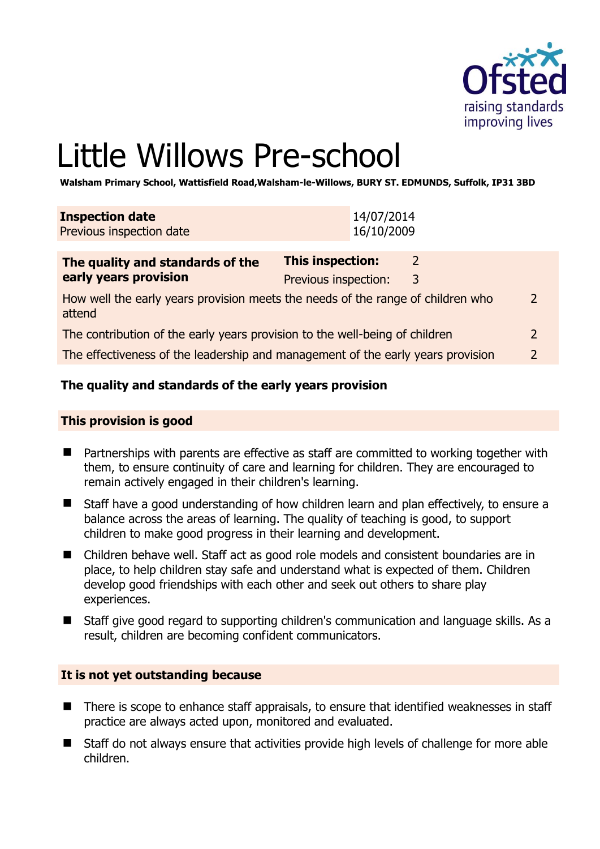

# Little Willows Pre-school

**Walsham Primary School, Wattisfield Road,Walsham-le-Willows, BURY ST. EDMUNDS, Suffolk, IP31 3BD** 

| The quality and standards of the                   | <b>This inspection:</b>  |  |
|----------------------------------------------------|--------------------------|--|
| <b>Inspection date</b><br>Previous inspection date | 14/07/2014<br>16/10/2009 |  |
|                                                    |                          |  |

| The quality and standards of the                                                          | This inspection:     |   |               |
|-------------------------------------------------------------------------------------------|----------------------|---|---------------|
| early years provision                                                                     | Previous inspection: | 3 |               |
| How well the early years provision meets the needs of the range of children who<br>attend |                      |   | $\mathcal{L}$ |
| The contribution of the early years provision to the well-being of children               |                      |   |               |
| The effectiveness of the leadership and management of the early years provision           |                      |   |               |

# **The quality and standards of the early years provision**

#### **This provision is good**

- Partnerships with parents are effective as staff are committed to working together with them, to ensure continuity of care and learning for children. They are encouraged to remain actively engaged in their children's learning.
- Staff have a good understanding of how children learn and plan effectively, to ensure a balance across the areas of learning. The quality of teaching is good, to support children to make good progress in their learning and development.
- Children behave well. Staff act as good role models and consistent boundaries are in place, to help children stay safe and understand what is expected of them. Children develop good friendships with each other and seek out others to share play experiences.
- Staff give good regard to supporting children's communication and language skills. As a result, children are becoming confident communicators.

#### **It is not yet outstanding because**

- There is scope to enhance staff appraisals, to ensure that identified weaknesses in staff practice are always acted upon, monitored and evaluated.
- Staff do not always ensure that activities provide high levels of challenge for more able children.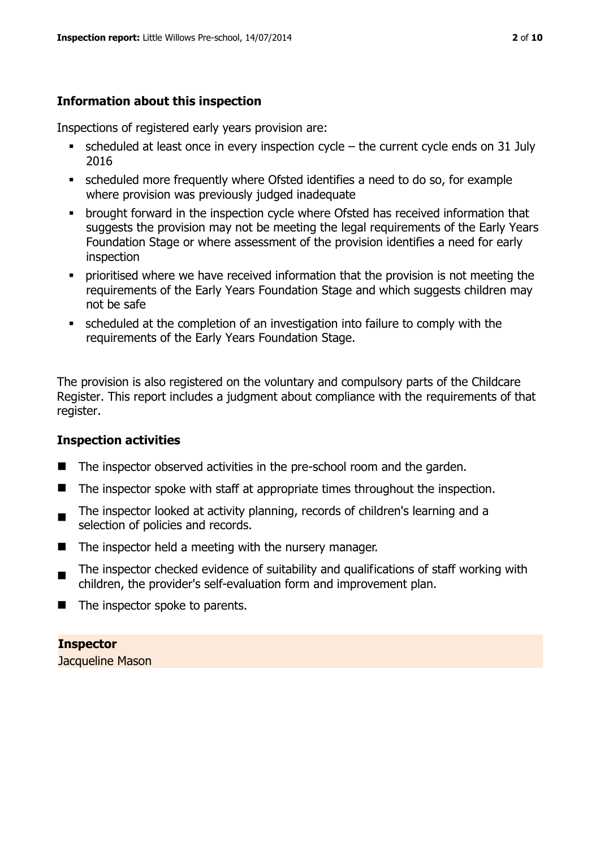# **Information about this inspection**

Inspections of registered early years provision are:

- $\bullet$  scheduled at least once in every inspection cycle the current cycle ends on 31 July 2016
- scheduled more frequently where Ofsted identifies a need to do so, for example where provision was previously judged inadequate
- **•** brought forward in the inspection cycle where Ofsted has received information that suggests the provision may not be meeting the legal requirements of the Early Years Foundation Stage or where assessment of the provision identifies a need for early inspection
- **•** prioritised where we have received information that the provision is not meeting the requirements of the Early Years Foundation Stage and which suggests children may not be safe
- scheduled at the completion of an investigation into failure to comply with the requirements of the Early Years Foundation Stage.

The provision is also registered on the voluntary and compulsory parts of the Childcare Register. This report includes a judgment about compliance with the requirements of that register.

# **Inspection activities**

- The inspector observed activities in the pre-school room and the garden.
- $\blacksquare$  The inspector spoke with staff at appropriate times throughout the inspection.
- The inspector looked at activity planning, records of children's learning and a selection of policies and records.
- $\blacksquare$  The inspector held a meeting with the nursery manager.
- $\blacksquare$ The inspector checked evidence of suitability and qualifications of staff working with children, the provider's self-evaluation form and improvement plan.
- $\blacksquare$  The inspector spoke to parents.

**Inspector** 

Jacqueline Mason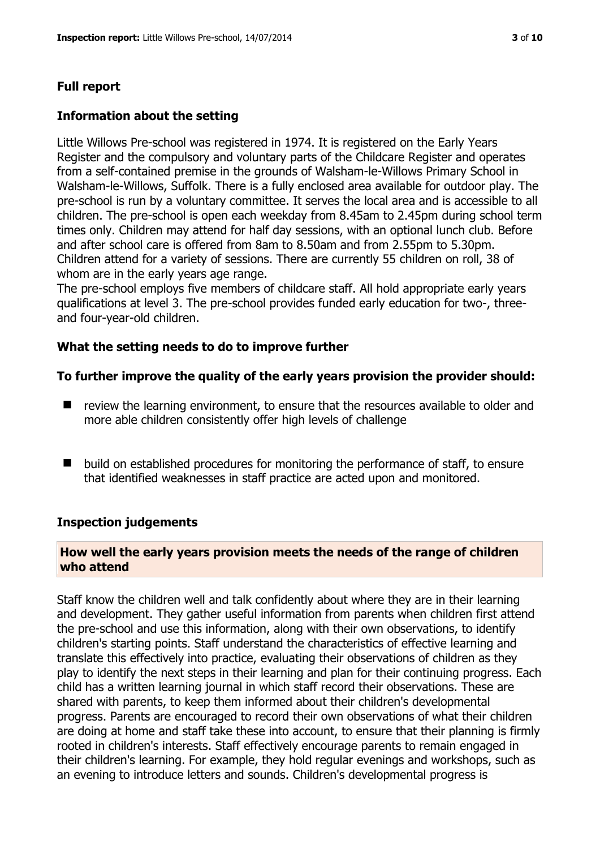# **Full report**

# **Information about the setting**

Little Willows Pre-school was registered in 1974. It is registered on the Early Years Register and the compulsory and voluntary parts of the Childcare Register and operates from a self-contained premise in the grounds of Walsham-le-Willows Primary School in Walsham-le-Willows, Suffolk. There is a fully enclosed area available for outdoor play. The pre-school is run by a voluntary committee. It serves the local area and is accessible to all children. The pre-school is open each weekday from 8.45am to 2.45pm during school term times only. Children may attend for half day sessions, with an optional lunch club. Before and after school care is offered from 8am to 8.50am and from 2.55pm to 5.30pm. Children attend for a variety of sessions. There are currently 55 children on roll, 38 of whom are in the early years age range.

The pre-school employs five members of childcare staff. All hold appropriate early years qualifications at level 3. The pre-school provides funded early education for two-, threeand four-year-old children.

# **What the setting needs to do to improve further**

# **To further improve the quality of the early years provision the provider should:**

- review the learning environment, to ensure that the resources available to older and more able children consistently offer high levels of challenge
- build on established procedures for monitoring the performance of staff, to ensure that identified weaknesses in staff practice are acted upon and monitored.

#### **Inspection judgements**

# **How well the early years provision meets the needs of the range of children who attend**

Staff know the children well and talk confidently about where they are in their learning and development. They gather useful information from parents when children first attend the pre-school and use this information, along with their own observations, to identify children's starting points. Staff understand the characteristics of effective learning and translate this effectively into practice, evaluating their observations of children as they play to identify the next steps in their learning and plan for their continuing progress. Each child has a written learning journal in which staff record their observations. These are shared with parents, to keep them informed about their children's developmental progress. Parents are encouraged to record their own observations of what their children are doing at home and staff take these into account, to ensure that their planning is firmly rooted in children's interests. Staff effectively encourage parents to remain engaged in their children's learning. For example, they hold regular evenings and workshops, such as an evening to introduce letters and sounds. Children's developmental progress is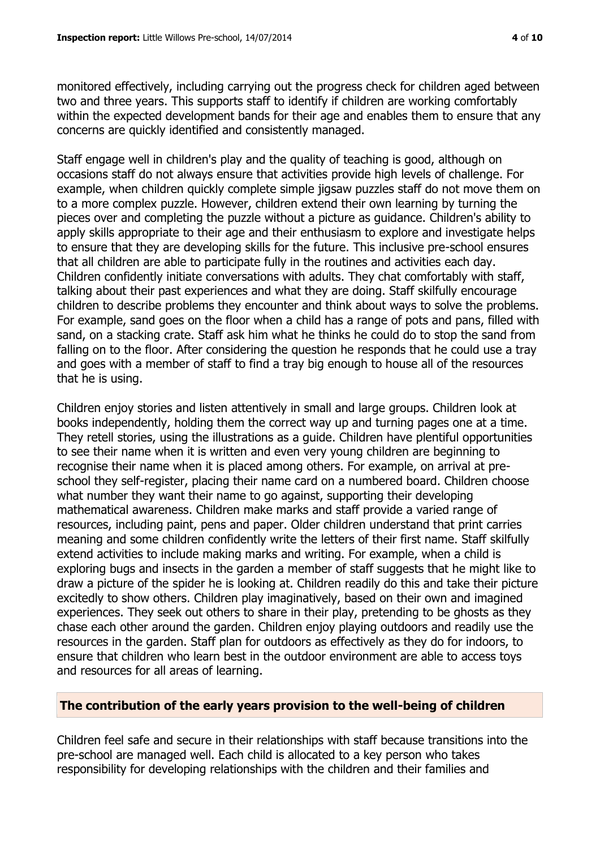monitored effectively, including carrying out the progress check for children aged between two and three years. This supports staff to identify if children are working comfortably within the expected development bands for their age and enables them to ensure that any concerns are quickly identified and consistently managed.

Staff engage well in children's play and the quality of teaching is good, although on occasions staff do not always ensure that activities provide high levels of challenge. For example, when children quickly complete simple jigsaw puzzles staff do not move them on to a more complex puzzle. However, children extend their own learning by turning the pieces over and completing the puzzle without a picture as guidance. Children's ability to apply skills appropriate to their age and their enthusiasm to explore and investigate helps to ensure that they are developing skills for the future. This inclusive pre-school ensures that all children are able to participate fully in the routines and activities each day. Children confidently initiate conversations with adults. They chat comfortably with staff, talking about their past experiences and what they are doing. Staff skilfully encourage children to describe problems they encounter and think about ways to solve the problems. For example, sand goes on the floor when a child has a range of pots and pans, filled with sand, on a stacking crate. Staff ask him what he thinks he could do to stop the sand from falling on to the floor. After considering the question he responds that he could use a tray and goes with a member of staff to find a tray big enough to house all of the resources that he is using.

Children enjoy stories and listen attentively in small and large groups. Children look at books independently, holding them the correct way up and turning pages one at a time. They retell stories, using the illustrations as a guide. Children have plentiful opportunities to see their name when it is written and even very young children are beginning to recognise their name when it is placed among others. For example, on arrival at preschool they self-register, placing their name card on a numbered board. Children choose what number they want their name to go against, supporting their developing mathematical awareness. Children make marks and staff provide a varied range of resources, including paint, pens and paper. Older children understand that print carries meaning and some children confidently write the letters of their first name. Staff skilfully extend activities to include making marks and writing. For example, when a child is exploring bugs and insects in the garden a member of staff suggests that he might like to draw a picture of the spider he is looking at. Children readily do this and take their picture excitedly to show others. Children play imaginatively, based on their own and imagined experiences. They seek out others to share in their play, pretending to be ghosts as they chase each other around the garden. Children enjoy playing outdoors and readily use the resources in the garden. Staff plan for outdoors as effectively as they do for indoors, to ensure that children who learn best in the outdoor environment are able to access toys and resources for all areas of learning.

# **The contribution of the early years provision to the well-being of children**

Children feel safe and secure in their relationships with staff because transitions into the pre-school are managed well. Each child is allocated to a key person who takes responsibility for developing relationships with the children and their families and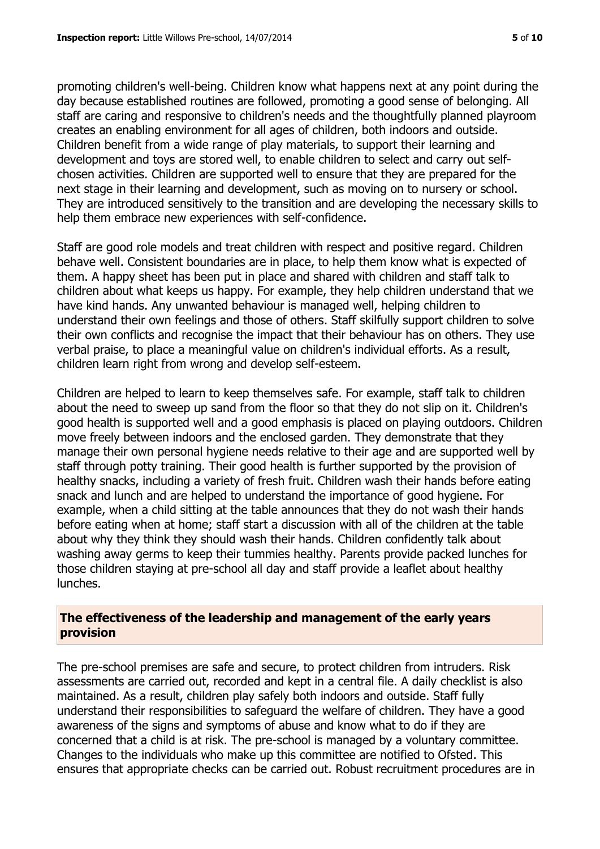promoting children's well-being. Children know what happens next at any point during the day because established routines are followed, promoting a good sense of belonging. All staff are caring and responsive to children's needs and the thoughtfully planned playroom creates an enabling environment for all ages of children, both indoors and outside. Children benefit from a wide range of play materials, to support their learning and development and toys are stored well, to enable children to select and carry out selfchosen activities. Children are supported well to ensure that they are prepared for the next stage in their learning and development, such as moving on to nursery or school. They are introduced sensitively to the transition and are developing the necessary skills to help them embrace new experiences with self-confidence.

Staff are good role models and treat children with respect and positive regard. Children behave well. Consistent boundaries are in place, to help them know what is expected of them. A happy sheet has been put in place and shared with children and staff talk to children about what keeps us happy. For example, they help children understand that we have kind hands. Any unwanted behaviour is managed well, helping children to understand their own feelings and those of others. Staff skilfully support children to solve their own conflicts and recognise the impact that their behaviour has on others. They use verbal praise, to place a meaningful value on children's individual efforts. As a result, children learn right from wrong and develop self-esteem.

Children are helped to learn to keep themselves safe. For example, staff talk to children about the need to sweep up sand from the floor so that they do not slip on it. Children's good health is supported well and a good emphasis is placed on playing outdoors. Children move freely between indoors and the enclosed garden. They demonstrate that they manage their own personal hygiene needs relative to their age and are supported well by staff through potty training. Their good health is further supported by the provision of healthy snacks, including a variety of fresh fruit. Children wash their hands before eating snack and lunch and are helped to understand the importance of good hygiene. For example, when a child sitting at the table announces that they do not wash their hands before eating when at home; staff start a discussion with all of the children at the table about why they think they should wash their hands. Children confidently talk about washing away germs to keep their tummies healthy. Parents provide packed lunches for those children staying at pre-school all day and staff provide a leaflet about healthy lunches.

#### **The effectiveness of the leadership and management of the early years provision**

The pre-school premises are safe and secure, to protect children from intruders. Risk assessments are carried out, recorded and kept in a central file. A daily checklist is also maintained. As a result, children play safely both indoors and outside. Staff fully understand their responsibilities to safeguard the welfare of children. They have a good awareness of the signs and symptoms of abuse and know what to do if they are concerned that a child is at risk. The pre-school is managed by a voluntary committee. Changes to the individuals who make up this committee are notified to Ofsted. This ensures that appropriate checks can be carried out. Robust recruitment procedures are in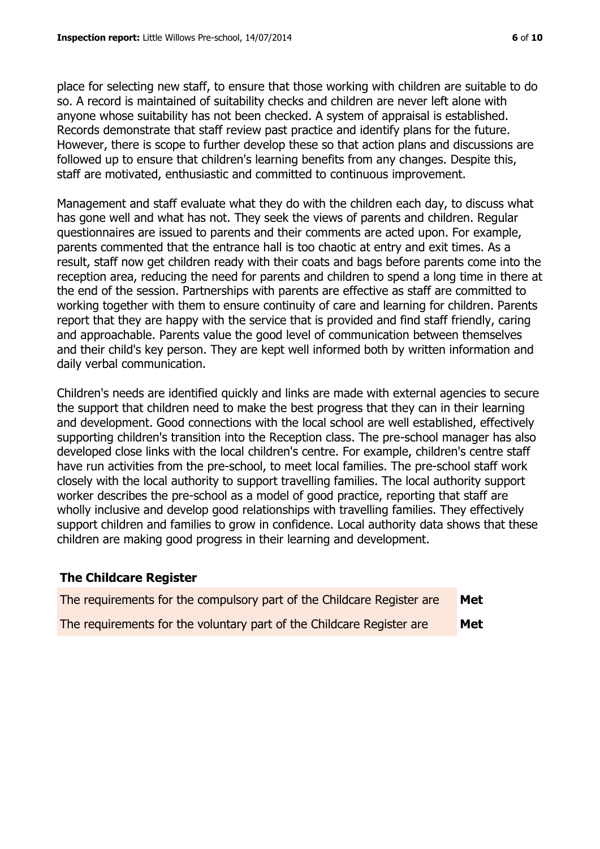place for selecting new staff, to ensure that those working with children are suitable to do so. A record is maintained of suitability checks and children are never left alone with anyone whose suitability has not been checked. A system of appraisal is established. Records demonstrate that staff review past practice and identify plans for the future. However, there is scope to further develop these so that action plans and discussions are followed up to ensure that children's learning benefits from any changes. Despite this, staff are motivated, enthusiastic and committed to continuous improvement.

Management and staff evaluate what they do with the children each day, to discuss what has gone well and what has not. They seek the views of parents and children. Regular questionnaires are issued to parents and their comments are acted upon. For example, parents commented that the entrance hall is too chaotic at entry and exit times. As a result, staff now get children ready with their coats and bags before parents come into the reception area, reducing the need for parents and children to spend a long time in there at the end of the session. Partnerships with parents are effective as staff are committed to working together with them to ensure continuity of care and learning for children. Parents report that they are happy with the service that is provided and find staff friendly, caring and approachable. Parents value the good level of communication between themselves and their child's key person. They are kept well informed both by written information and daily verbal communication.

Children's needs are identified quickly and links are made with external agencies to secure the support that children need to make the best progress that they can in their learning and development. Good connections with the local school are well established, effectively supporting children's transition into the Reception class. The pre-school manager has also developed close links with the local children's centre. For example, children's centre staff have run activities from the pre-school, to meet local families. The pre-school staff work closely with the local authority to support travelling families. The local authority support worker describes the pre-school as a model of good practice, reporting that staff are wholly inclusive and develop good relationships with travelling families. They effectively support children and families to grow in confidence. Local authority data shows that these children are making good progress in their learning and development.

# **The Childcare Register**

| The requirements for the compulsory part of the Childcare Register are | Met |
|------------------------------------------------------------------------|-----|
| The requirements for the voluntary part of the Childcare Register are  | Met |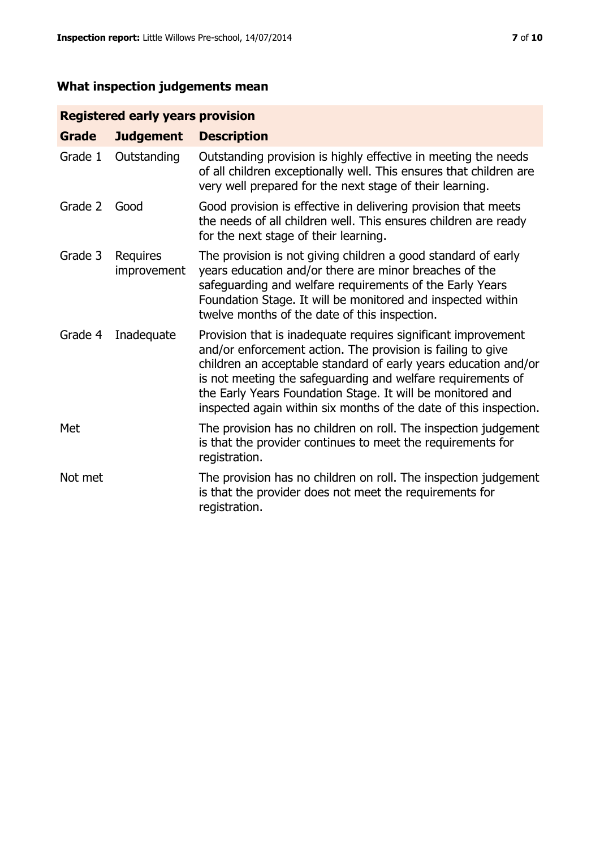# **What inspection judgements mean**

# **Registered early years provision**

| <b>Grade</b> | <b>Judgement</b>        | <b>Description</b>                                                                                                                                                                                                                                                                                                                                                                                |
|--------------|-------------------------|---------------------------------------------------------------------------------------------------------------------------------------------------------------------------------------------------------------------------------------------------------------------------------------------------------------------------------------------------------------------------------------------------|
| Grade 1      | Outstanding             | Outstanding provision is highly effective in meeting the needs<br>of all children exceptionally well. This ensures that children are<br>very well prepared for the next stage of their learning.                                                                                                                                                                                                  |
| Grade 2      | Good                    | Good provision is effective in delivering provision that meets<br>the needs of all children well. This ensures children are ready<br>for the next stage of their learning.                                                                                                                                                                                                                        |
| Grade 3      | Requires<br>improvement | The provision is not giving children a good standard of early<br>years education and/or there are minor breaches of the<br>safeguarding and welfare requirements of the Early Years<br>Foundation Stage. It will be monitored and inspected within<br>twelve months of the date of this inspection.                                                                                               |
| Grade 4      | Inadequate              | Provision that is inadequate requires significant improvement<br>and/or enforcement action. The provision is failing to give<br>children an acceptable standard of early years education and/or<br>is not meeting the safeguarding and welfare requirements of<br>the Early Years Foundation Stage. It will be monitored and<br>inspected again within six months of the date of this inspection. |
| Met          |                         | The provision has no children on roll. The inspection judgement<br>is that the provider continues to meet the requirements for<br>registration.                                                                                                                                                                                                                                                   |
| Not met      |                         | The provision has no children on roll. The inspection judgement<br>is that the provider does not meet the requirements for<br>registration.                                                                                                                                                                                                                                                       |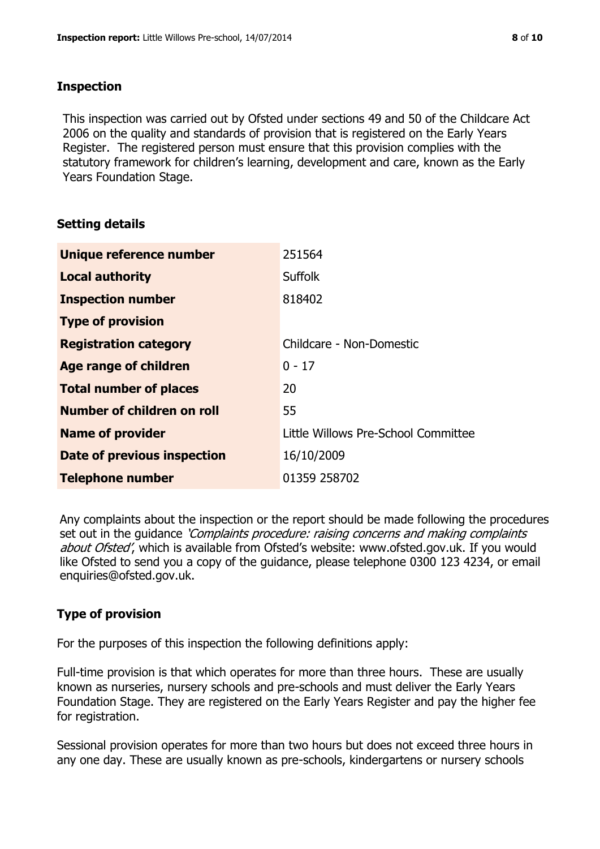# **Inspection**

This inspection was carried out by Ofsted under sections 49 and 50 of the Childcare Act 2006 on the quality and standards of provision that is registered on the Early Years Register. The registered person must ensure that this provision complies with the statutory framework for children's learning, development and care, known as the Early Years Foundation Stage.

# **Setting details**

| Unique reference number       | 251564                              |
|-------------------------------|-------------------------------------|
| <b>Local authority</b>        | <b>Suffolk</b>                      |
| <b>Inspection number</b>      | 818402                              |
| <b>Type of provision</b>      |                                     |
| <b>Registration category</b>  | Childcare - Non-Domestic            |
| Age range of children         | $0 - 17$                            |
| <b>Total number of places</b> | 20                                  |
| Number of children on roll    | 55                                  |
| <b>Name of provider</b>       | Little Willows Pre-School Committee |
| Date of previous inspection   | 16/10/2009                          |
| <b>Telephone number</b>       | 01359 258702                        |

Any complaints about the inspection or the report should be made following the procedures set out in the guidance *'Complaints procedure: raising concerns and making complaints* about Ofsted', which is available from Ofsted's website: www.ofsted.gov.uk. If you would like Ofsted to send you a copy of the guidance, please telephone 0300 123 4234, or email enquiries@ofsted.gov.uk.

# **Type of provision**

For the purposes of this inspection the following definitions apply:

Full-time provision is that which operates for more than three hours. These are usually known as nurseries, nursery schools and pre-schools and must deliver the Early Years Foundation Stage. They are registered on the Early Years Register and pay the higher fee for registration.

Sessional provision operates for more than two hours but does not exceed three hours in any one day. These are usually known as pre-schools, kindergartens or nursery schools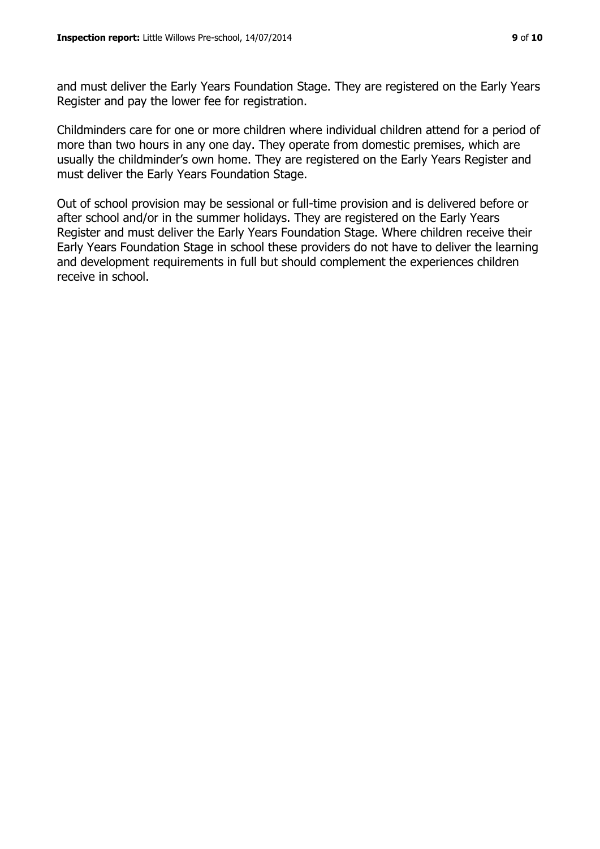and must deliver the Early Years Foundation Stage. They are registered on the Early Years Register and pay the lower fee for registration.

Childminders care for one or more children where individual children attend for a period of more than two hours in any one day. They operate from domestic premises, which are usually the childminder's own home. They are registered on the Early Years Register and must deliver the Early Years Foundation Stage.

Out of school provision may be sessional or full-time provision and is delivered before or after school and/or in the summer holidays. They are registered on the Early Years Register and must deliver the Early Years Foundation Stage. Where children receive their Early Years Foundation Stage in school these providers do not have to deliver the learning and development requirements in full but should complement the experiences children receive in school.